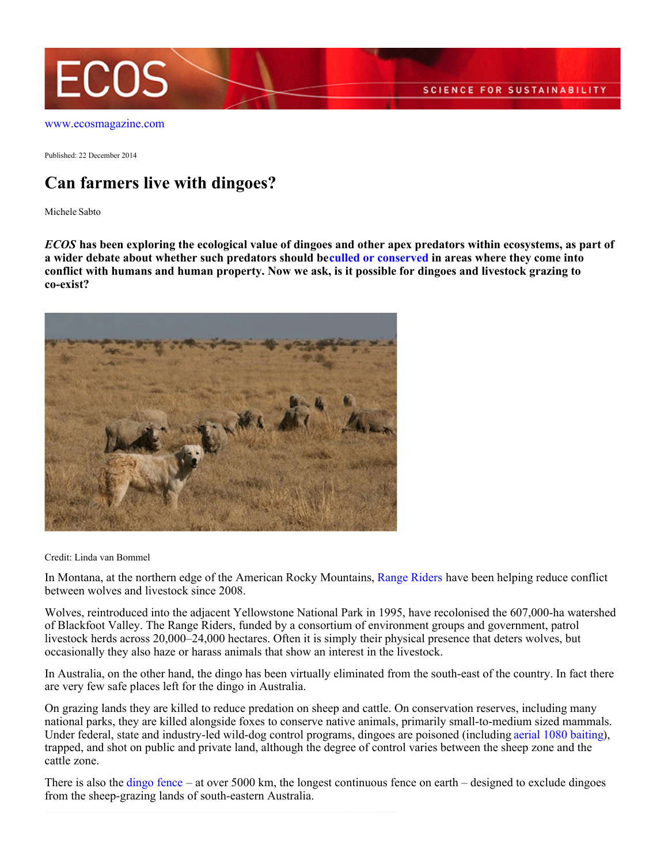

[www.ecosmagazine.com](http://www.ecosmagazine.com)

Published: 22 December 2014

## **Can farmers live with dingoes?**

Michele Sabto

*ECOS* **has been exploring the ecological value of dingoes and other apex predators within ecosystems, as part of** a wider debate about whether such predators should beculled or conserved in areas where they come into **conflict with humans and human property. Now we ask, is it possible for dingoes and livestock grazing to co-exist?**



Credit: Linda van Bommel

In Montana, at the northern edge of the American Rocky Mountains, [Range Riders](http://www.peopleandcarnivores.org/services/agriculture/range-riders) have been helping reduce conflict between wolves and livestock since 2008.

Wolves, reintroduced into the adjacent Yellowstone National Park in 1995, have recolonised the 607,000-ha watershed of Blackfoot Valley. The Range Riders, funded by a consortium of environment groups and government, patrol livestock herds across 20,000–24,000 hectares. Often it is simply their physical presence that deters wolves, but occasionally they also haze or harass animals that show an interest in the livestock.

In Australia, on the other hand, the dingo has been virtually eliminated from the south-east of the country. In fact there are very few safe places left for the dingo in Australia.

On grazing lands they are killed to reduce predation on sheep and cattle. On conservation reserves, including many national parks, they are killed alongside foxes to conserve native animals, primarily small-to-medium sized mammals. Under federal, state and industry-led wild-dog control programs, dingoes are poisoned (including [aerial 1080 baiting](http://www.dpi.nsw.gov.au/agriculture/pests-weeds/vertebrate-pests/pest-animals-in-nsw/wild-dog-control)), trapped, and shot on public and private land, although the degree of control varies between the sheep zone and the cattle zone.

There is also the [dingo fence](http://www.ecosmagazine.com/paper/EC13145.htm) – at over 5000 km, the longest continuous fence on earth – designed to exclude dingoes from the sheep-grazing lands of south-eastern Australia.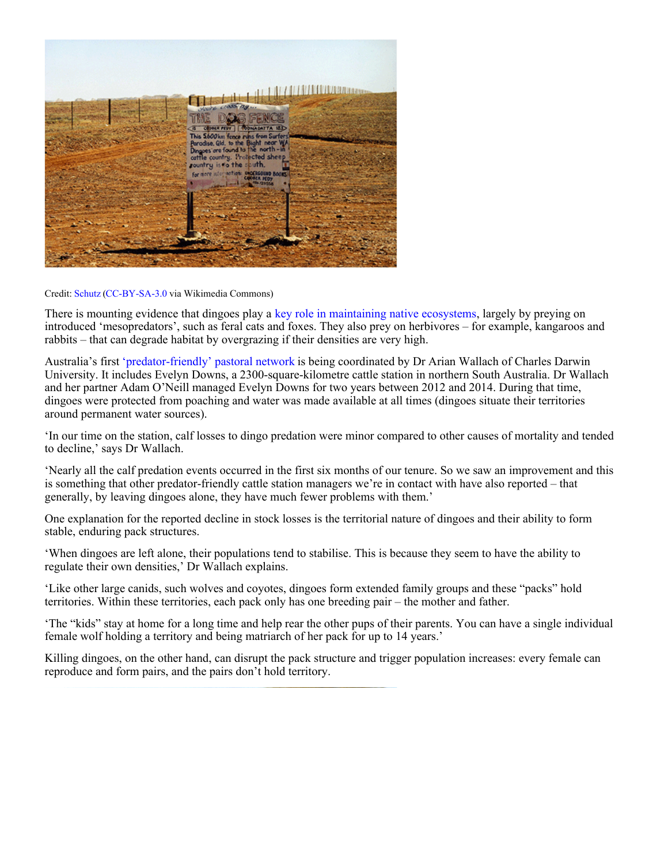| You're cross ag                                                                                                                                                                                                                           | HAHII WAARARA |
|-------------------------------------------------------------------------------------------------------------------------------------------------------------------------------------------------------------------------------------------|---------------|
| <b>AS FENCE</b><br><b>ODNER FEDT   CONNADATTA ISD</b><br>Œ<br>This S600km feace runs from Surfers)<br>Paradise, Qld, to the Bight near Williams are found to the north-in<br>Cortile country. Protected sheep<br>rountry is to the count. |               |
| For more information: CHOCREGIND BOOKS                                                                                                                                                                                                    |               |
|                                                                                                                                                                                                                                           |               |
|                                                                                                                                                                                                                                           |               |

## Credit: [Schutz](http://commons.wikimedia.org/wiki/User:Schutz) [\(CC-BY-SA-3.0](http://creativecommons.org/licenses/by-sa/3.0/) via Wikimedia Commons)

There is mounting evidence that dingoes play a [key role in maintaining native ecosystems](http://www.academia.edu/1564868/Ecosystem_restoration_with_teeth_what_role_for_predators), largely by preying on introduced 'mesopredators', such as feral cats and foxes. They also prey on herbivores – for example, kangaroos and rabbits – that can degrade habitat by overgrazing if their densities are very high.

Australia's first ['predator-friendly' pastoral network](http://www.dingobiodiversity.com/) is being coordinated by Dr Arian Wallach of Charles Darwin University. It includes Evelyn Downs, a 2300-square-kilometre cattle station in northern South Australia. Dr Wallach and her partner Adam O'Neill managed Evelyn Downs for two years between 2012 and 2014. During that time, dingoes were protected from poaching and water was made available at all times (dingoes situate their territories around permanent water sources).

'In our time on the station, calf losses to dingo predation were minor compared to other causes of mortality and tended to decline,' says Dr Wallach.

'Nearly all the calf predation events occurred in the first six months of our tenure. So we saw an improvement and this is something that other predator-friendly cattle station managers we're in contact with have also reported – that generally, by leaving dingoes alone, they have much fewer problems with them.'

One explanation for the reported decline in stock losses is the territorial nature of dingoes and their ability to form stable, enduring pack structures.

'When dingoes are left alone, their populations tend to stabilise. This is because they seem to have the ability to regulate their own densities,' Dr Wallach explains.

'Like other large canids, such wolves and coyotes, dingoes form extended family groups and these "packs" hold territories. Within these territories, each pack only has one breeding pair – the mother and father.

'The "kids" stay at home for a long time and help rear the other pups of their parents. You can have a single individual female wolf holding a territory and being matriarch of her pack for up to 14 years.'

Killing dingoes, on the other hand, can disrupt the pack structure and trigger population increases: every female can reproduce and form pairs, and the pairs don't hold territory.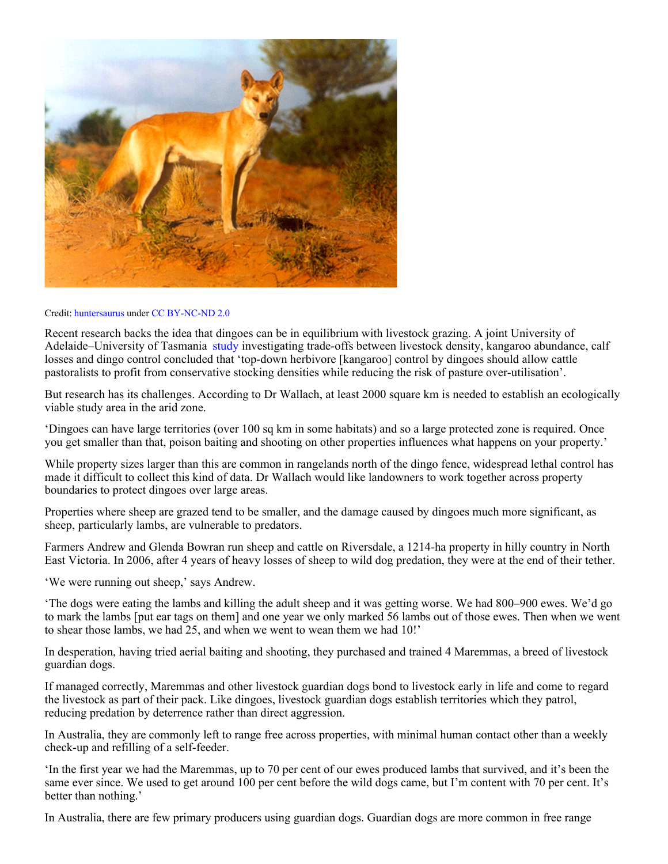

## Credit: [huntersaurus](https://www.flickr.com/photos/28302166@N08/) under [CC BY-NC-ND 2.0](https://creativecommons.org/licenses/by-nc-nd/2.0/)

Recent research backs the idea that dingoes can be in equilibrium with livestock grazing. A joint University of Adelaide–University of Tasmania [study](http://onlinelibrary.wiley.com/doi/10.1111/1365-2664.12378/abstract) investigating trade-offs between livestock density, kangaroo abundance, calf losses and dingo control concluded that 'top-down herbivore [kangaroo] control by dingoes should allow cattle pastoralists to profit from conservative stocking densities while reducing the risk of pasture over-utilisation'.

But research has its challenges. According to Dr Wallach, at least 2000 square km is needed to establish an ecologically viable study area in the arid zone.

'Dingoes can have large territories (over 100 sq km in some habitats) and so a large protected zone is required. Once you get smaller than that, poison baiting and shooting on other properties influences what happens on your property.'

While property sizes larger than this are common in rangelands north of the dingo fence, widespread lethal control has made it difficult to collect this kind of data. Dr Wallach would like landowners to work together across property boundaries to protect dingoes over large areas.

Properties where sheep are grazed tend to be smaller, and the damage caused by dingoes much more significant, as sheep, particularly lambs, are vulnerable to predators.

Farmers Andrew and Glenda Bowran run sheep and cattle on Riversdale, a 1214-ha property in hilly country in North East Victoria. In 2006, after 4 years of heavy losses of sheep to wild dog predation, they were at the end of their tether.

'We were running out sheep,' says Andrew.

'The dogs were eating the lambs and killing the adult sheep and it was getting worse. We had 800–900 ewes. We'd go to mark the lambs [put ear tags on them] and one year we only marked 56 lambs out of those ewes. Then when we went to shear those lambs, we had 25, and when we went to wean them we had 10!'

In desperation, having tried aerial baiting and shooting, they purchased and trained 4 Maremmas, a breed of livestock guardian dogs.

If managed correctly, Maremmas and other livestock guardian dogs bond to livestock early in life and come to regard the livestock as part of their pack. Like dingoes, livestock guardian dogs establish territories which they patrol, reducing predation by deterrence rather than direct aggression.

In Australia, they are commonly left to range free across properties, with minimal human contact other than a weekly check-up and refilling of a self-feeder.

'In the first year we had the Maremmas, up to 70 per cent of our ewes produced lambs that survived, and it's been the same ever since. We used to get around 100 per cent before the wild dogs came, but I'm content with 70 per cent. It's better than nothing.'

In Australia, there are few primary producers using guardian dogs. Guardian dogs are more common in free range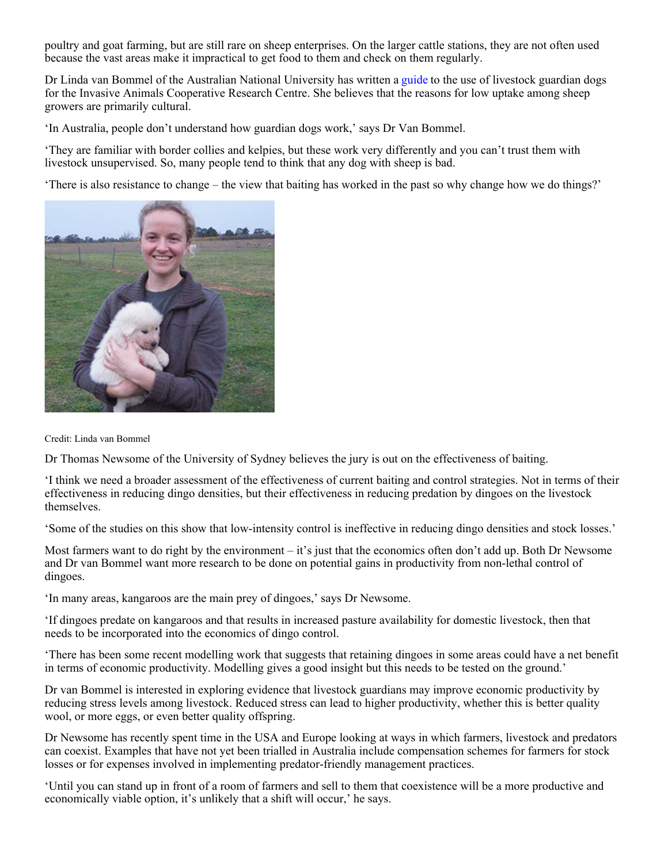poultry and goat farming, but are still rare on sheep enterprises. On the larger cattle stations, they are not often used because the vast areas make it impractical to get food to them and check on them regularly.

Dr Linda van Bommel of the Australian National University has written a [guide](http://www.pestsmart.org.au/guardian-dogs/) to the use of livestock guardian dogs for the Invasive Animals Cooperative Research Centre. She believes that the reasons for low uptake among sheep growers are primarily cultural.

'In Australia, people don't understand how guardian dogs work,' says Dr Van Bommel.

'They are familiar with border collies and kelpies, but these work very differently and you can't trust them with livestock unsupervised. So, many people tend to think that any dog with sheep is bad.

'There is also resistance to change – the view that baiting has worked in the past so why change how we do things?'



Credit: Linda van Bommel

Dr Thomas Newsome of the University of Sydney believes the jury is out on the effectiveness of baiting.

'I think we need a broader assessment of the effectiveness of current baiting and control strategies. Not in terms of their effectiveness in reducing dingo densities, but their effectiveness in reducing predation by dingoes on the livestock themselves.

'Some of the studies on this show that low-intensity control is ineffective in reducing dingo densities and stock losses.'

Most farmers want to do right by the environment – it's just that the economics often don't add up. Both Dr Newsome and Dr van Bommel want more research to be done on potential gains in productivity from non-lethal control of dingoes.

'In many areas, kangaroos are the main prey of dingoes,' says Dr Newsome.

'If dingoes predate on kangaroos and that results in increased pasture availability for domestic livestock, then that needs to be incorporated into the economics of dingo control.

'There has been some recent modelling work that suggests that retaining dingoes in some areas could have a net benefit in terms of economic productivity. Modelling gives a good insight but this needs to be tested on the ground.'

Dr van Bommel is interested in exploring evidence that livestock guardians may improve economic productivity by reducing stress levels among livestock. Reduced stress can lead to higher productivity, whether this is better quality wool, or more eggs, or even better quality offspring.

Dr Newsome has recently spent time in the USA and Europe looking at ways in which farmers, livestock and predators can coexist. Examples that have not yet been trialled in Australia include compensation schemes for farmers for stock losses or for expenses involved in implementing predator-friendly management practices.

'Until you can stand up in front of a room of farmers and sell to them that coexistence will be a more productive and economically viable option, it's unlikely that a shift will occur,' he says.